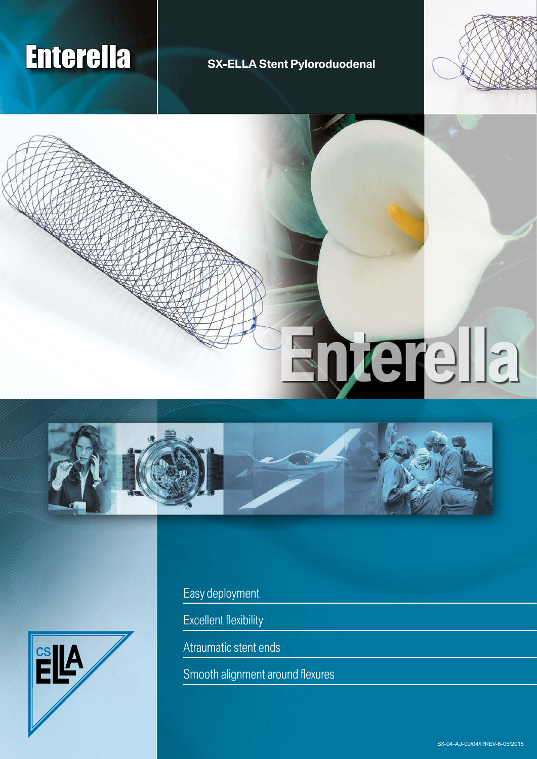## Enterella **SX-ELLA Stent Pyloroduodenal**



# **Enterella**





Easy deployment

Excellent flexibility

Atraumatic stent ends

Smooth alignment around flexures